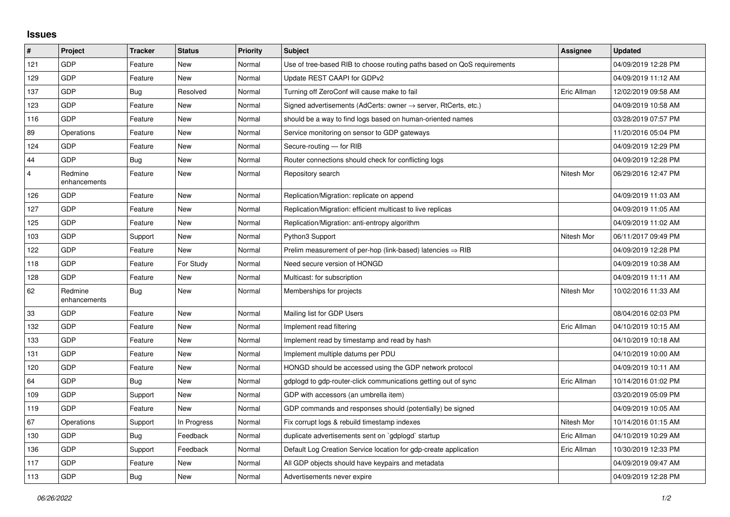## **Issues**

| #              | Project                 | <b>Tracker</b> | <b>Status</b> | <b>Priority</b> | <b>Subject</b>                                                          | Assignee    | <b>Updated</b>      |
|----------------|-------------------------|----------------|---------------|-----------------|-------------------------------------------------------------------------|-------------|---------------------|
| 121            | GDP                     | Feature        | <b>New</b>    | Normal          | Use of tree-based RIB to choose routing paths based on QoS requirements |             | 04/09/2019 12:28 PM |
| 129            | GDP                     | Feature        | New           | Normal          | Update REST CAAPI for GDPv2                                             |             | 04/09/2019 11:12 AM |
| 137            | GDP                     | Bug            | Resolved      | Normal          | Turning off ZeroConf will cause make to fail                            | Eric Allman | 12/02/2019 09:58 AM |
| 123            | GDP                     | Feature        | <b>New</b>    | Normal          | Signed advertisements (AdCerts: owner → server, RtCerts, etc.)          |             | 04/09/2019 10:58 AM |
| 116            | GDP                     | Feature        | <b>New</b>    | Normal          | should be a way to find logs based on human-oriented names              |             | 03/28/2019 07:57 PM |
| 89             | Operations              | Feature        | New           | Normal          | Service monitoring on sensor to GDP gateways                            |             | 11/20/2016 05:04 PM |
| 124            | <b>GDP</b>              | Feature        | New           | Normal          | Secure-routing - for RIB                                                |             | 04/09/2019 12:29 PM |
| 44             | GDP                     | Bug            | <b>New</b>    | Normal          | Router connections should check for conflicting logs                    |             | 04/09/2019 12:28 PM |
| $\overline{4}$ | Redmine<br>enhancements | Feature        | New           | Normal          | Repository search                                                       | Nitesh Mor  | 06/29/2016 12:47 PM |
| 126            | GDP                     | Feature        | <b>New</b>    | Normal          | Replication/Migration: replicate on append                              |             | 04/09/2019 11:03 AM |
| 127            | GDP                     | Feature        | <b>New</b>    | Normal          | Replication/Migration: efficient multicast to live replicas             |             | 04/09/2019 11:05 AM |
| 125            | GDP                     | Feature        | New           | Normal          | Replication/Migration: anti-entropy algorithm                           |             | 04/09/2019 11:02 AM |
| 103            | GDP                     | Support        | New           | Normal          | Python3 Support                                                         | Nitesh Mor  | 06/11/2017 09:49 PM |
| 122            | GDP                     | Feature        | New           | Normal          | Prelim measurement of per-hop (link-based) latencies $\Rightarrow$ RIB  |             | 04/09/2019 12:28 PM |
| 118            | GDP                     | Feature        | For Study     | Normal          | Need secure version of HONGD                                            |             | 04/09/2019 10:38 AM |
| 128            | GDP                     | Feature        | New           | Normal          | Multicast: for subscription                                             |             | 04/09/2019 11:11 AM |
| 62             | Redmine<br>enhancements | <b>Bug</b>     | <b>New</b>    | Normal          | Memberships for projects                                                | Nitesh Mor  | 10/02/2016 11:33 AM |
| 33             | GDP                     | Feature        | New           | Normal          | Mailing list for GDP Users                                              |             | 08/04/2016 02:03 PM |
| 132            | GDP                     | Feature        | New           | Normal          | Implement read filtering                                                | Eric Allman | 04/10/2019 10:15 AM |
| 133            | GDP                     | Feature        | New           | Normal          | Implement read by timestamp and read by hash                            |             | 04/10/2019 10:18 AM |
| 131            | GDP                     | Feature        | New           | Normal          | Implement multiple datums per PDU                                       |             | 04/10/2019 10:00 AM |
| 120            | GDP                     | Feature        | New           | Normal          | HONGD should be accessed using the GDP network protocol                 |             | 04/09/2019 10:11 AM |
| 64             | GDP                     | Bug            | New           | Normal          | gdplogd to gdp-router-click communications getting out of sync          | Eric Allman | 10/14/2016 01:02 PM |
| 109            | GDP                     | Support        | <b>New</b>    | Normal          | GDP with accessors (an umbrella item)                                   |             | 03/20/2019 05:09 PM |
| 119            | GDP                     | Feature        | New           | Normal          | GDP commands and responses should (potentially) be signed               |             | 04/09/2019 10:05 AM |
| 67             | Operations              | Support        | In Progress   | Normal          | Fix corrupt logs & rebuild timestamp indexes                            | Nitesh Mor  | 10/14/2016 01:15 AM |
| 130            | GDP                     | Bug            | Feedback      | Normal          | duplicate advertisements sent on `gdplogd` startup                      | Eric Allman | 04/10/2019 10:29 AM |
| 136            | GDP                     | Support        | Feedback      | Normal          | Default Log Creation Service location for gdp-create application        | Eric Allman | 10/30/2019 12:33 PM |
| 117            | GDP                     | Feature        | New           | Normal          | All GDP objects should have keypairs and metadata                       |             | 04/09/2019 09:47 AM |
| 113            | GDP                     | <b>Bug</b>     | <b>New</b>    | Normal          | Advertisements never expire                                             |             | 04/09/2019 12:28 PM |